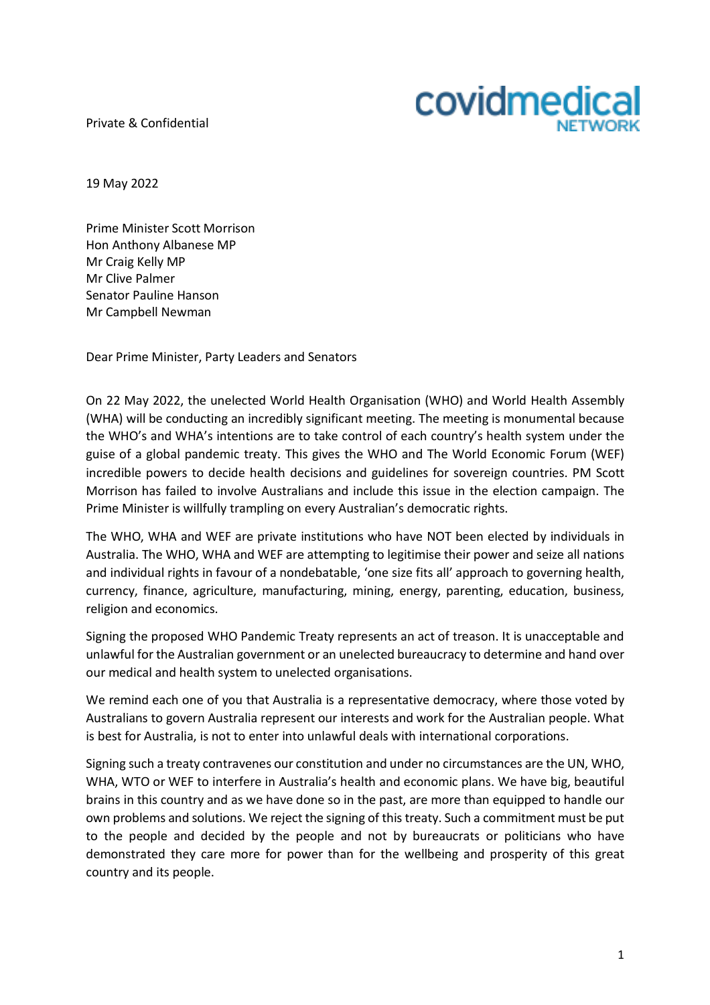Private & Confidential



19 May 2022

Prime Minister Scott Morrison Hon Anthony Albanese MP Mr Craig Kelly MP Mr Clive Palmer Senator Pauline Hanson Mr Campbell Newman

Dear Prime Minister, Party Leaders and Senators

On 22 May 2022, the unelected World Health Organisation (WHO) and World Health Assembly (WHA) will be conducting an incredibly significant meeting. The meeting is monumental because the WHO's and WHA's intentions are to take control of each country's health system under the guise of a global pandemic treaty. This gives the WHO and The World Economic Forum (WEF) incredible powers to decide health decisions and guidelines for sovereign countries. PM Scott Morrison has failed to involve Australians and include this issue in the election campaign. The Prime Minister is willfully trampling on every Australian's democratic rights.

The WHO, WHA and WEF are private institutions who have NOT been elected by individuals in Australia. The WHO, WHA and WEF are attempting to legitimise their power and seize all nations and individual rights in favour of a nondebatable, 'one size fits all' approach to governing health, currency, finance, agriculture, manufacturing, mining, energy, parenting, education, business, religion and economics.

Signing the proposed WHO Pandemic Treaty represents an act of treason. It is unacceptable and unlawful for the Australian government or an unelected bureaucracy to determine and hand over our medical and health system to unelected organisations.

We remind each one of you that Australia is a representative democracy, where those voted by Australians to govern Australia represent our interests and work for the Australian people. What is best for Australia, is not to enter into unlawful deals with international corporations.

Signing such a treaty contravenes our constitution and under no circumstances are the UN, WHO, WHA, WTO or WEF to interfere in Australia's health and economic plans. We have big, beautiful brains in this country and as we have done so in the past, are more than equipped to handle our own problems and solutions. We reject the signing of this treaty. Such a commitment must be put to the people and decided by the people and not by bureaucrats or politicians who have demonstrated they care more for power than for the wellbeing and prosperity of this great country and its people.